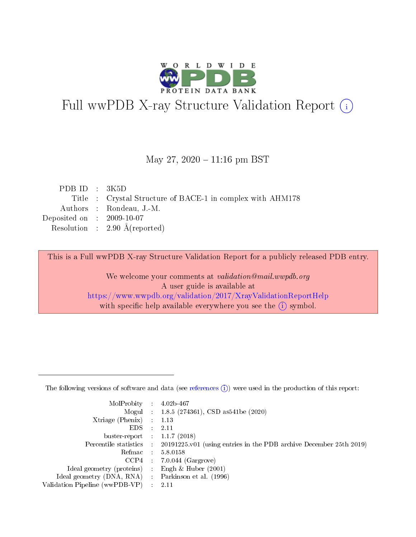

# Full wwPDB X-ray Structure Validation Report (i)

#### May 27,  $2020 - 11:16$  pm BST

| PDBID : 3K5D                |                                                            |
|-----------------------------|------------------------------------------------------------|
|                             | Title : Crystal Structure of BACE-1 in complex with AHM178 |
|                             | Authors : Rondeau, J.-M.                                   |
| Deposited on : $2009-10-07$ |                                                            |
|                             | Resolution : $2.90 \text{ Å}$ (reported)                   |
|                             |                                                            |

This is a Full wwPDB X-ray Structure Validation Report for a publicly released PDB entry.

We welcome your comments at validation@mail.wwpdb.org A user guide is available at <https://www.wwpdb.org/validation/2017/XrayValidationReportHelp> with specific help available everywhere you see the  $(i)$  symbol.

The following versions of software and data (see [references](https://www.wwpdb.org/validation/2017/XrayValidationReportHelp#references)  $(1)$ ) were used in the production of this report:

| $MolProbability$ 4.02b-467                          |               |                                                                                            |
|-----------------------------------------------------|---------------|--------------------------------------------------------------------------------------------|
|                                                     |               | Mogul : 1.8.5 (274361), CSD as 541be (2020)                                                |
| $Xtriangle (Phenix)$ : 1.13                         |               |                                                                                            |
| EDS -                                               | $\mathcal{L}$ | 2.11                                                                                       |
| buster-report : $1.1.7(2018)$                       |               |                                                                                            |
|                                                     |               | Percentile statistics : 20191225.v01 (using entries in the PDB archive December 25th 2019) |
| Refmac $5.8.0158$                                   |               |                                                                                            |
|                                                     |               | $CCP4$ : 7.0.044 (Gargrove)                                                                |
| Ideal geometry (proteins) :                         |               | Engh $\&$ Huber (2001)                                                                     |
| Ideal geometry (DNA, RNA) : Parkinson et al. (1996) |               |                                                                                            |
| Validation Pipeline (wwPDB-VP) : 2.11               |               |                                                                                            |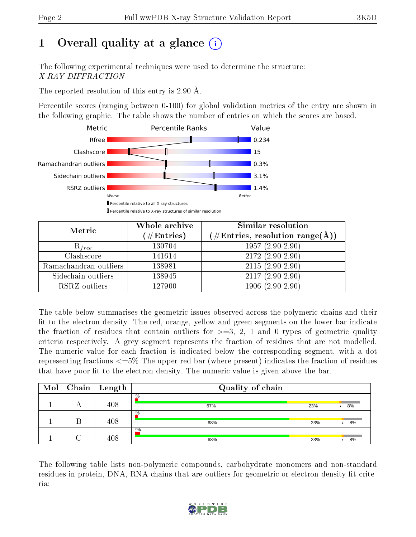# 1 [O](https://www.wwpdb.org/validation/2017/XrayValidationReportHelp#overall_quality)verall quality at a glance  $(i)$

The following experimental techniques were used to determine the structure: X-RAY DIFFRACTION

The reported resolution of this entry is 2.90 Å.

Percentile scores (ranging between 0-100) for global validation metrics of the entry are shown in the following graphic. The table shows the number of entries on which the scores are based.



| Metric                | Whole archive<br>$(\#\text{Entries})$ | <b>Similar resolution</b><br>$(\#\text{Entries},\,\text{resolution}\,\,\text{range}(\textup{\AA}))$ |
|-----------------------|---------------------------------------|-----------------------------------------------------------------------------------------------------|
| $R_{free}$            | 130704                                | $1957(2.90-2.90)$                                                                                   |
| Clashscore            | 141614                                | $2172(2.90-2.90)$                                                                                   |
| Ramachandran outliers | 138981                                | $2115(2.90-2.90)$                                                                                   |
| Sidechain outliers    | 138945                                | $2117(2.90-2.90)$                                                                                   |
| RSRZ outliers         | 127900                                | $1906(2.90-2.90)$                                                                                   |

The table below summarises the geometric issues observed across the polymeric chains and their fit to the electron density. The red, orange, yellow and green segments on the lower bar indicate the fraction of residues that contain outliers for  $>=3, 2, 1$  and 0 types of geometric quality criteria respectively. A grey segment represents the fraction of residues that are not modelled. The numeric value for each fraction is indicated below the corresponding segment, with a dot representing fractions <=5% The upper red bar (where present) indicates the fraction of residues that have poor fit to the electron density. The numeric value is given above the bar.

| Mol | Chain   Length | Quality of chain |     |         |  |  |  |  |
|-----|----------------|------------------|-----|---------|--|--|--|--|
|     | 408            | $\%$<br>67%      | 23% | 8%      |  |  |  |  |
|     | 408            | $\%$<br>68%      | 23% | 8%<br>٠ |  |  |  |  |
|     | 408            | 2%<br>68%        | 23% | 8%<br>٠ |  |  |  |  |

The following table lists non-polymeric compounds, carbohydrate monomers and non-standard residues in protein, DNA, RNA chains that are outliers for geometric or electron-density-fit criteria:

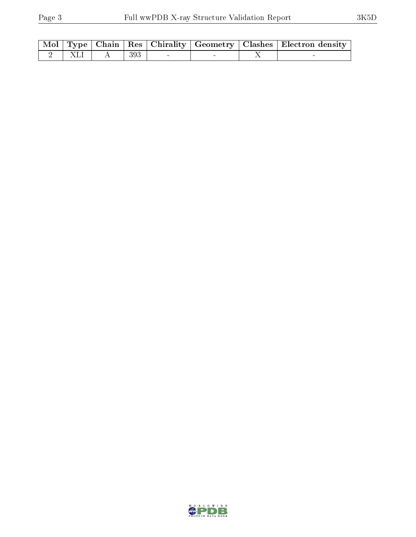|  |                   |  |  | Mol   Type   Chain   Res   Chirality   Geometry   Clashes   Electron density |
|--|-------------------|--|--|------------------------------------------------------------------------------|
|  | 2   XLI   A   393 |  |  |                                                                              |

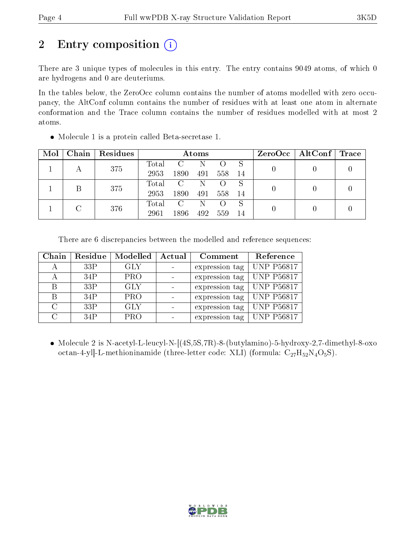# 2 Entry composition  $\left( \cdot \right)$

There are 3 unique types of molecules in this entry. The entry contains 9049 atoms, of which 0 are hydrogens and 0 are deuteriums.

In the tables below, the ZeroOcc column contains the number of atoms modelled with zero occupancy, the AltConf column contains the number of residues with at least one atom in alternate conformation and the Trace column contains the number of residues modelled with at most 2 atoms.

| Mol |     | Chain   Residues | Atoms |               |     |                  |    | $ZeroOcc \mid AltConf \mid Trace$ |  |  |
|-----|-----|------------------|-------|---------------|-----|------------------|----|-----------------------------------|--|--|
|     |     |                  | Total | $\mathcal{C}$ | N   |                  |    |                                   |  |  |
|     |     | 375              | 2953  | 1890          | 491 | 558              | 14 |                                   |  |  |
|     |     | 375              | Total | $\mathbf{C}$  | -N  | $\left( \right)$ | S  |                                   |  |  |
|     |     |                  | 2953  | 1890          | 491 | 558              | 14 |                                   |  |  |
|     |     |                  | Total | $\mathbf{C}$  | N   | $\left( \right)$ | S  |                                   |  |  |
|     | 376 | 2961             | 1896  | 492           | 559 | 14               |    |                                   |  |  |

Molecule 1 is a protein called Beta-secretase 1.

There are 6 discrepancies between the modelled and reference sequences:

| Chain  | Residue | Modelled   | Actual | Comment        | Reference         |
|--------|---------|------------|--------|----------------|-------------------|
|        | 33P     | <b>GLY</b> |        | expression tag | UNP P56817        |
|        | 34P     | <b>PRO</b> |        | expression tag | UNP P56817        |
| B      | 33P     | <b>GLY</b> |        | expression tag | UNP P56817        |
| R      | 34P     | <b>PRO</b> |        | expression tag | UNP P56817        |
| $\cap$ | 33P     | <b>GLY</b> |        | expression tag | UNP P56817        |
| C      | 34P     | <b>PRO</b> |        | expression tag | <b>UNP P56817</b> |

 Molecule 2 is N-acetyl-L-leucyl-N-[(4S,5S,7R)-8-(butylamino)-5-hydroxy-2,7-dimethyl-8-oxo octan-4-yl]-L-methioninamide (three-letter code: XLI) (formula:  $C_{27}H_{52}N_4O_5S$ ).

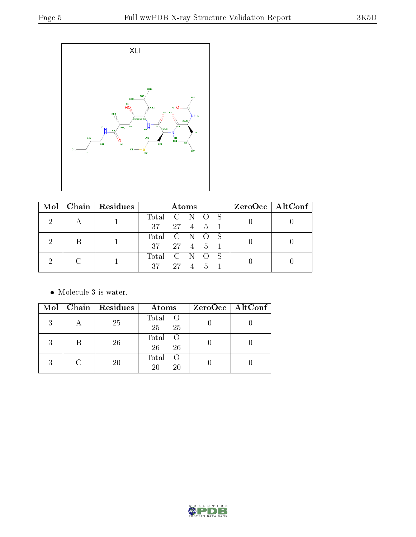

| $\bf{Mol}$ |  | $\mid$ Chain $\mid$ Residues | <b>Atoms</b>                          |               |  |  |  | ZeroOcc   AltConf |  |
|------------|--|------------------------------|---------------------------------------|---------------|--|--|--|-------------------|--|
|            |  |                              | Total C N O S                         |               |  |  |  |                   |  |
|            |  |                              | $37 \quad 27 \quad 4 \quad 5 \quad 1$ |               |  |  |  |                   |  |
|            |  |                              |                                       | Total C N O S |  |  |  |                   |  |
|            |  |                              | 37                                    | 27 4 5 1      |  |  |  |                   |  |
|            |  |                              | Total C N O S                         |               |  |  |  |                   |  |
|            |  |                              | 37                                    | 27 4 5 1      |  |  |  |                   |  |

 $\bullet\,$  Molecule 3 is water.

|   | Mol   Chain   Residues | Atoms                                 | ZeroOcc   AltConf |
|---|------------------------|---------------------------------------|-------------------|
| 3 | 25                     | Total O<br>25<br>25                   |                   |
|   | 26                     | Total<br>26<br>26                     |                   |
|   | 20                     | Total<br>$\left( \right)$<br>20<br>20 |                   |

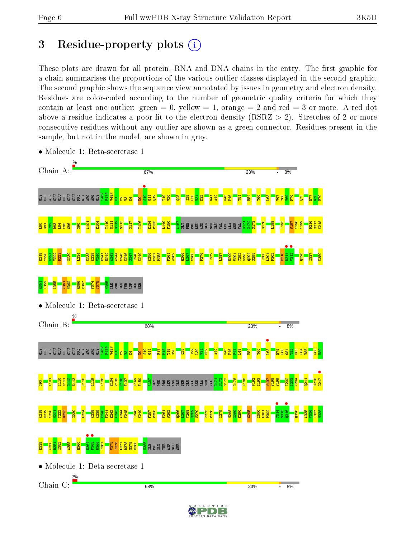# 3 Residue-property plots  $(i)$

These plots are drawn for all protein, RNA and DNA chains in the entry. The first graphic for a chain summarises the proportions of the various outlier classes displayed in the second graphic. The second graphic shows the sequence view annotated by issues in geometry and electron density. Residues are color-coded according to the number of geometric quality criteria for which they contain at least one outlier: green  $= 0$ , yellow  $= 1$ , orange  $= 2$  and red  $= 3$  or more. A red dot above a residue indicates a poor fit to the electron density (RSRZ  $> 2$ ). Stretches of 2 or more consecutive residues without any outlier are shown as a green connector. Residues present in the sample, but not in the model, are shown in grey.



• Molecule 1: Beta-secretase 1

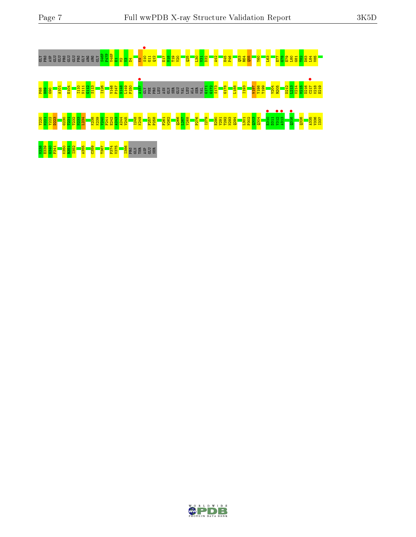

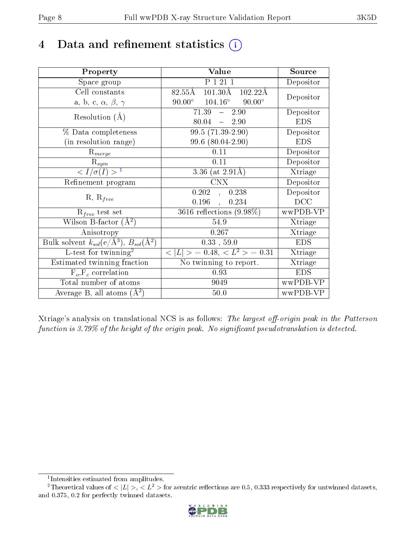# 4 Data and refinement statistics  $(i)$

| Property                                                                | Value                                                      | Source     |
|-------------------------------------------------------------------------|------------------------------------------------------------|------------|
| Space group                                                             | P 1 21 1                                                   | Depositor  |
| Cell constants                                                          | $101.30\text{\AA}$<br>$82.55\rm \AA$<br>$102.22\text{\AA}$ | Depositor  |
| a, b, c, $\alpha$ , $\beta$ , $\gamma$                                  | $90.00^\circ$<br>$104.16^{\circ}$<br>$90.00^{\circ}$       |            |
| Resolution $(A)$                                                        | $71.39 - 2.90$                                             | Depositor  |
|                                                                         | $80.04 - 2.90$                                             | <b>EDS</b> |
| $\%$ Data completeness                                                  | $99.5(71.39-2.90)$                                         | Depositor  |
| (in resolution range)                                                   | 99.6 (80.04-2.90)                                          | <b>EDS</b> |
| $R_{merge}$                                                             | 0.11                                                       | Depositor  |
| $\mathrm{R}_{sym}$                                                      | 0.11                                                       | Depositor  |
| $\langle I/\sigma(I) \rangle^{-1}$                                      | 3.36 (at $2.91\text{\AA}$ )                                | Xtriage    |
| Refinement program                                                      | <b>CNX</b>                                                 | Depositor  |
| $R, R_{free}$                                                           | 0.202<br>0.238<br>$\mathbf{A}$                             | Depositor  |
|                                                                         | 0.196<br>0.234<br>$\ddot{\phantom{a}}$                     | DCC        |
| $\mathcal{R}_{free}$ test set                                           | $3616$ reflections $(9.98\%)$                              | wwPDB-VP   |
| Wilson B-factor $(A^2)$                                                 | 54.9                                                       | Xtriage    |
| Anisotropy                                                              | 0.267                                                      | Xtriage    |
| Bulk solvent $k_{sol}(\mathrm{e}/\mathrm{A}^3),\,B_{sol}(\mathrm{A}^2)$ | 0.33, 59.0                                                 | <b>EDS</b> |
| L-test for twinning <sup>2</sup>                                        | $< L >$ = 0.48, $< L2 >$ = 0.31                            | Xtriage    |
| Estimated twinning fraction                                             | $\overline{\text{No}}$ twinning to report.                 | Xtriage    |
| $F_o, F_c$ correlation                                                  | 0.93                                                       | <b>EDS</b> |
| Total number of atoms                                                   | 9049                                                       | wwPDB-VP   |
| Average B, all atoms $(A^2)$                                            | 50.0                                                       | wwPDB-VP   |

Xtriage's analysis on translational NCS is as follows: The largest off-origin peak in the Patterson function is  $3.79\%$  of the height of the origin peak. No significant pseudotranslation is detected.

<sup>&</sup>lt;sup>2</sup>Theoretical values of  $\langle |L| \rangle$ ,  $\langle L^2 \rangle$  for acentric reflections are 0.5, 0.333 respectively for untwinned datasets, and 0.375, 0.2 for perfectly twinned datasets.



<span id="page-7-1"></span><span id="page-7-0"></span><sup>1</sup> Intensities estimated from amplitudes.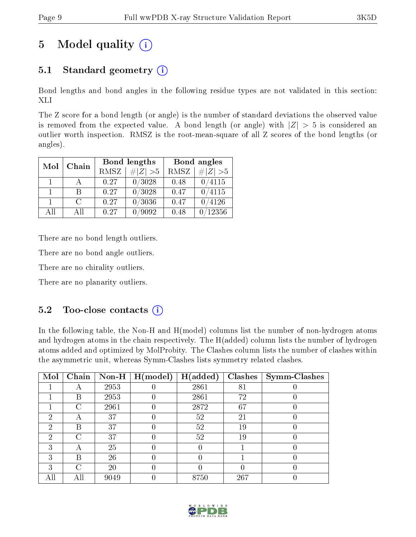# 5 Model quality  $(i)$

## 5.1 Standard geometry  $(i)$

Bond lengths and bond angles in the following residue types are not validated in this section: XLI

The Z score for a bond length (or angle) is the number of standard deviations the observed value is removed from the expected value. A bond length (or angle) with  $|Z| > 5$  is considered an outlier worth inspection. RMSZ is the root-mean-square of all Z scores of the bond lengths (or angles).

| Mol          | Chain  |      | Bond lengths | Bond angles |                              |  |
|--------------|--------|------|--------------|-------------|------------------------------|--|
|              |        | RMSZ | $\# Z  > 5$  | RMSZ        | $\vert \# \vert Z \vert > 5$ |  |
| $\mathbf{1}$ |        | 0.27 | 0/3028       | 0.48        | 0/4115                       |  |
| 1.           | R      | 0.27 | 0/3028       | 0.47        | 0/4115                       |  |
|              | $\cap$ | 0.27 | 0/3036       | 0.47        | /4126                        |  |
| All          | ΑĦ     | 0.27 | '9092        | 0.48        | 12356                        |  |

There are no bond length outliers.

There are no bond angle outliers.

There are no chirality outliers.

There are no planarity outliers.

#### 5.2 Too-close contacts  $(i)$

In the following table, the Non-H and H(model) columns list the number of non-hydrogen atoms and hydrogen atoms in the chain respectively. The H(added) column lists the number of hydrogen atoms added and optimized by MolProbity. The Clashes column lists the number of clashes within the asymmetric unit, whereas Symm-Clashes lists symmetry related clashes.

| Mol | Chain | $\bf Non-H$ | H (model) | H(added) | <b>Clashes</b> | Symm-Clashes |
|-----|-------|-------------|-----------|----------|----------------|--------------|
|     |       | 2953        |           | 2861     | 81             |              |
|     | В     | 2953        |           | 2861     | 72             |              |
|     | C     | 2961        |           | 2872     | 67             |              |
| 2   |       | 37          |           | 52       | 21             |              |
| 2   | В     | 37          |           | 52       | 19             |              |
| 2   | C     | 37          |           | 52       | 19             |              |
| 3   |       | 25          |           |          |                |              |
| 3   | В     | 26          | 0         | 0        |                |              |
| 3   | C     | 20          |           |          |                |              |
|     |       | 9049        |           | 8750     | 267            |              |

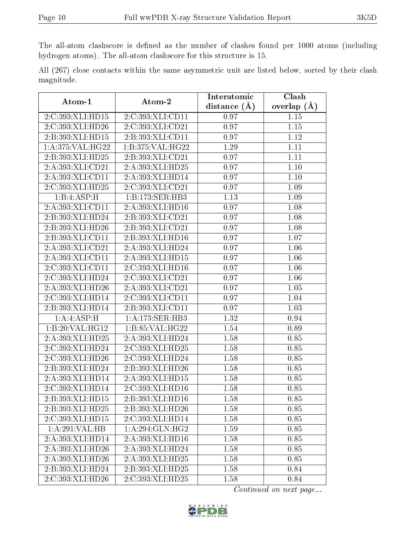The all-atom clashscore is defined as the number of clashes found per 1000 atoms (including hydrogen atoms). The all-atom clashscore for this structure is 15.

All (267) close contacts within the same asymmetric unit are listed below, sorted by their clash magnitude.

| Atom-1                      | Atom-2               | Interatomic    | Clash         |
|-----------------------------|----------------------|----------------|---------------|
|                             |                      | distance $(A)$ | overlap $(A)$ |
| 2:C:393:XLI:HD15            | 2:C:393:XLI:CD11     | 0.97           | 1.15          |
| 2:C:393:XLI:HD26            | 2:C:393:XLI:CD21     | 0.97           | 1.15          |
| 2:B:393:XLI:HD15            | 2:B:393:XLI:CD11     | 0.97           | 1.12          |
| 1: A:375: VAL:HG22          | 1:B:375:VAL:HG22     | 1.29           | 1.11          |
| 2:B:393:XLI:HD25            | 2:B:393:XLI:CD21     | 0.97           | 1.11          |
| 2:A:393:XLI:CD21            | 2:A:393:XLI:HD25     | 0.97           | 1.10          |
| 2:A:393:XLI:CD11            | 2:A:393:XLI:HD14     | 0.97           | $1.10\,$      |
| 2:C:393:XLI:HD25            | 2:C:393:XLI:CD21     | 0.97           | 1.09          |
| 1:B:4:ASP:H                 | 1:B:173:SER:HB3      | 1.13           | 1.09          |
| 2:A:393:XLI:CD11            | 2:A:393:XLI:HD16     | 0.97           | 1.08          |
| 2:B:393:XLI:HD24            | 2:B:393:XLI:CD21     | 0.97           | 1.08          |
| 2:B:393:XLI:HD26            | 2:B:393:XLI:CD21     | 0.97           | 1.08          |
| 2:B:393:XLI:CD11            | 2:B:393:XLI:HD16     | 0.97           | 1.07          |
| 2:A:393:XLI:CD21            | 2:A:393:XLI:HD24     | 0.97           | 1.06          |
| 2:A:393:XLI:CD11            | 2:A:393:XLI:HD15     | 0.97           | 1.06          |
| 2:C:393:XLI:CD11            | 2:C:393:XLI:HD16     | 0.97           | 1.06          |
| 2:C:393:XLI:HD24            | 2:C:393:XLI:CD21     | 0.97           | 1.06          |
| 2:A:393:XLI:HD26            | 2:A:393:XLI:CD21     | 0.97           | $1.05\,$      |
| 2:C:393:XLI:HD14            | 2:C:393:XLI:CD11     | 0.97           | 1.04          |
| 2:B:393:XLI:HD14            | 2: B: 393: XLI: CD11 | 0.97           | 1.03          |
| 1:A:4:ASP:H                 | 1: A:173: SER:HB3    | 1.32           | 0.94          |
| 1:B:20:VAL:HG12             | 1:1:8:5:VAL:HG22     | 1.54           | 0.89          |
| 2:A:393:XLI:HD25            | 2:A:393:XLI:HD24     | 1.58           | 0.85          |
| 2:C:393:XLI:HD24            | 2:C:393:XLI:HD25     | 1.58           | 0.85          |
| 2:C:393:XLI:HD26            | 2:C:393:XLI:HD24     | 1.58           | 0.85          |
| 2:B:393:XLI:HD24            | 2:B:393:XLI:HD26     | 1.58           | 0.85          |
| 2:A:393:XLI:HD14            | 2:A:393:XLI:HD15     | 1.58           | 0.85          |
| 2:C:393:XLI:HD14            | 2:C:393:XLI:HD16     | 1.58           | 0.85          |
| 2:B:393:XLI:HD15            | 2:B:393:XLI:HD16     | 1.58           | 0.85          |
| 2:B:393:XLI:HD25            | 2:B:393:XLI:HD26     | 1.58           | 0.85          |
| 2:C:393:XLI:HD15            | 2:C:393:XLI:HD14     | 1.58           | 0.85          |
| $1:A:291:V\overline{AL:H}B$ | 1: A:294: GLN: HG2   | 1.59           | 0.85          |
| 2:A:393:XLI:HD14            | 2:A:393:XLI:HD16     | 1.58           | 0.85          |
| 2:A:393:XLI:HD26            | 2:A:393:XLI:HD24     | 1.58           | 0.85          |
| 2:A:393:XLI:HD26            | 2:A:393:XLI:HD25     | 1.58           | 0.85          |
| 2:B:393:XLI:HD24            | 2:B:393:XLI:HD25     | 1.58           | 0.84          |
| 2:C:393:XLI:HD26            | 2:C:393:XLI:HD25     | 1.58           | 0.84          |

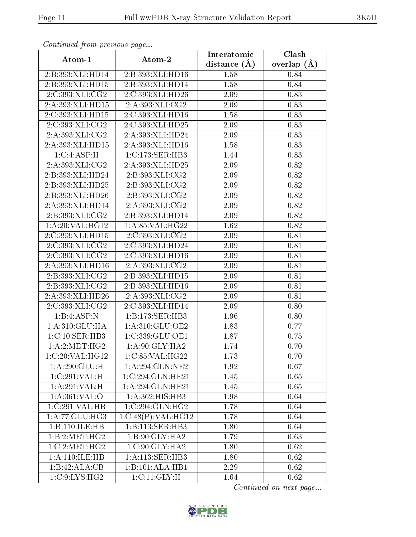| Continuata from previous page |                     | Interatomic    | Clash           |
|-------------------------------|---------------------|----------------|-----------------|
| Atom-1                        | Atom-2              | distance $(A)$ | overlap $(\AA)$ |
| 2:B:393:XLI:HD14              | 2:B:393:XLI:HD16    | 1.58           | 0.84            |
| 2:B:393:XLI:HD15              | 2:B:393:XLI:HD14    | 1.58           | 0.84            |
| 2:C:393:XLI:CG2               | 2:C:393:XLI:HD26    | 2.09           | 0.83            |
| 2:A:393:XLI:HD15              | 2:A:393:XLI:CG2     | 2.09           | 0.83            |
| 2:C:393:XLI:HD15              | 2:C:393:XLI:HD16    | 1.58           | 0.83            |
| 2:C:393:XLI:CG2               | 2:C:393:XLI:HD25    | 2.09           | 0.83            |
| 2:A:393:XLI:CG2               | 2:A:393:XLI:HD24    | 2.09           | 0.83            |
| 2:A:393:XLI:HD15              | 2:A:393:XLI:HD16    | 1.58           | 0.83            |
| 1:C:4:ASP:H                   | 1: C: 173: SER: HB3 | 1.44           | 0.83            |
| 2:A:393:XLI:CG2               | 2:A:393:XLI:HD25    | 2.09           | 0.82            |
| 2:B:393:XLI:HD24              | 2:B:393:XLI:CG2     | 2.09           | 0.82            |
| 2:B:393:XLI:HD25              | 2:B:393:XLI:CG2     | 2.09           | 0.82            |
| 2:B:393:XLI:HD26              | 2:B:393:XLI:CG2     | 2.09           | 0.82            |
| 2:A:393:XLI:HD14              | 2:A:393:XLI:CG2     | 2.09           | 0.82            |
| 2:B:393:XLI:CG2               | 2:B:393:XLI:HD14    | 2.09           | 0.82            |
| 1:A:20:VAL:HG12               | 1: A:85:VAL:HG22    | 1.62           | 0.82            |
| 2:C:393:XLI:HD15              | 2:C:393:XLI:CG2     | 2.09           | 0.81            |
| 2:C:393:XLI:CG2               | 2:C:393:XLI:HD24    | 2.09           | 0.81            |
| 2:C:393:XLI:CG2               | 2:C:393:XLI:HD16    | 2.09           | 0.81            |
| 2:A:393:XLI:HD16              | 2:A:393:XLI:CG2     | 2.09           | 0.81            |
| 2:B:393:XLI:CG2               | 2:B:393:XLI:HD15    | 2.09           | 0.81            |
| 2:B:393:XLI:CG2               | 2:B:393:XLI:HD16    | 2.09           | 0.81            |
| 2:A:393:XLI:HD26              | 2:A:393:XLI:CG2     | 2.09           | 0.81            |
| 2:C:393:XLI:CG2               | 2:C:393:XLI:HD14    | 2.09           | 0.80            |
| 1:B:4:ASP:N                   | 1:B:173:SER:HB3     | 1.96           | 0.80            |
| 1: A:310: GLU: HA             | 1:A:310:GLU:OE2     | 1.83           | 0.77            |
| 1:C:10:SER:HB3                | 1:C:339:GLU:OE1     | 1.87           | 0.75            |
| 1: A:2: MET:HG2               | 1:A:90:GLY:HA2      | 1.74           | 0.70            |
| 1:C:20:VAL:HG12               | 1:C:85:VAL:HG22     | 1.73           | 0.70            |
| 1:A:290:GLU:H                 | 1: A:294: GLN:NE2   | 1.92           | 0.67            |
| 1:C:291:VAL:H                 | 1:C:294:GLN:HE21    | 1.45           | 0.65            |
| 1:A:291:VAL:H                 | 1:A:294:GLN:HE21    | 1.45           | 0.65            |
| 1:A:361:VAL:O                 | 1:A:362:HIS:HB3     | 1.98           | 0.64            |
| 1:C:291:VAL:HB                | 1:C:294:GLN:HG2     | 1.78           | 0.64            |
| 1:A:77:GLU:HG3                | 1:C:48(P):VAL:HG12  | 1.78           | 0.64            |
| 1:B:110:ILE:HB                | 1:B:113:SER:HB3     | 1.80           | 0.64            |
| 1:B:2:MET:HG2                 | 1:B:90:GLY:HA2      | 1.79           | 0.63            |
| 1:C:2:MET:HG2                 | 1:C:90:GLY:HA2      | 1.80           | 0.62            |
| 1: A:110: ILE: HB             | 1: A:113: SER:HB3   | 1.80           | 0.62            |
| 1:B:42:ALA:CB                 | 1:B:101:ALA:HB1     | 2.29           | 0.62            |
| 1:C:9:LYS:HG2                 | 1:CI1:GLY:H         | 1.64           | 0.62            |

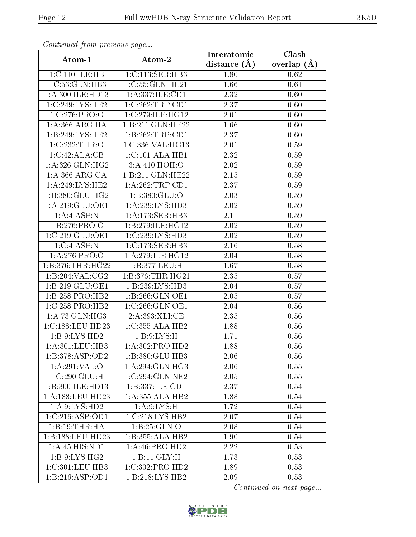| Continuata from previous page |                               | Interatomic       | Clash         |
|-------------------------------|-------------------------------|-------------------|---------------|
| Atom-1                        | Atom-2                        | distance (Å)      | overlap $(A)$ |
| 1:C:110:ILE:HB                | 1:C:113:SER:HB3               | 1.80              | 0.62          |
| 1:C:53:GLN:HB3                | 1:C:55:GLN:HE21               | 1.66              | 0.61          |
| 1: A:300: ILE: HD13           | 1: A: 337: ILE: CD1           | 2.32              | 0.60          |
| 1:C:249:LYS:HE2               | $\overline{1:C}$ :262:TRP:CD1 | 2.37              | 0.60          |
| 1:C:276:PRO:O                 | 1:C:279:ILE:HG12              | 2.01              | 0.60          |
| 1:A:366:ARG:HA                | 1:B:211:GLN:HE22              | 1.66              | 0.60          |
| 1:B:249:LYS:HE2               | 1:B:262:TRP:CD1               | 2.37              | 0.60          |
| 1:C:232:THR:O                 | 1:C:336:VAL:HG13              | 2.01              | 0.59          |
| 1:C:42:ALA:CB                 | 1:C:101:ALA:HB1               | $\overline{2.32}$ | 0.59          |
| 1: A:326: GLN: HG2            | 3:A:410:HOH:O                 | 2.02              | 0.59          |
| 1: A: 366: ARG: CA            | 1:B:211:GLN:HE22              | 2.15              | 0.59          |
| 1: A:249: LYS: HE2            | 1:A:262:TRP:CD1               | 2.37              | 0.59          |
| 1: B: 380: GLU: HG2           | 1:B:380:GLU:O                 | 2.03              | 0.59          |
| 1: A:219: GLU:OE1             | 1:A:239:LYS:HD3               | 2.02              | 0.59          |
| 1:A:4:ASP:N                   | 1:A:173:SER:HB3               | 2.11              | 0.59          |
| 1:B:276:PRO:O                 | 1:B:279:ILE:HG12              | 2.02              | 0.59          |
| 1:C:219:GLU:OE1               | 1:C:239:LYS:HD3               | 2.02              | 0.59          |
| 1:C:4:ASP:N                   | 1:C:173:SER:HB3               | 2.16              | 0.58          |
| 1:A:276:PRO:O                 | 1:A:279:ILE:HG12              | 2.04              | 0.58          |
| 1:B:376:THR:HG22              | 1:B:377:LEU:H                 | 1.67              | 0.58          |
| 1:B:204:VAL:CG2               | 1: B:376: THR: HG21           | 2.35              | 0.57          |
| 1:B:219:GLU:OE1               | 1:B:239:LYS:HD3               | 2.04              | 0.57          |
| 1:B:258:PRO:HB2               | 1:B:266:GLN:OE1               | 2.05              | 0.57          |
| 1:C:258:PRO:HB2               | 1:C:266:GLN:OE1               | 2.04              | 0.56          |
| 1: A:73: GLN: HG3             | 2:A:393:XLI:CE                | 2.35              | 0.56          |
| 1:C:188:LEU:HD23              | 1:C:355:ALA:HB2               | 1.88              | 0.56          |
| 1: B: 9: LYS: HD2             | 1: B: 9: LYS: H               | 1.71              | 0.56          |
| 1: A:301:LEU:HB3              | 1: A:302: PRO:HD2             | 1.88              | 0.56          |
| 1:B:378:ASP:OD2               | 1:B:380:GLU:HB3               | 2.06              | 0.56          |
| 1:A:291:VAL:O                 | 1: A:294: GLN: HG3            | 2.06              | 0.55          |
| 1:C:290:GLU:H                 | 1:C:294:GLN:NE2               | 2.05              | 0.55          |
| 1:B:300:ILE:HD13              | 1:B:337:ILE:CD1               | 2.37              | 0.54          |
| 1: A: 188: LEU: HD23          | 1:A:355:ALA:HB2               | 1.88              | 0.54          |
| 1: A:9: LYS: HD2              | 1: A:9: LYS:H                 | 1.72              | 0.54          |
| 1:C:216:ASP:OD1               | 1:C:218:LYS:HB2               | 2.07              | 0.54          |
| 1:B:19:THR:HA                 | 1:B:25:GLN:O                  | 2.08              | 0.54          |
| 1:B:188:LEU:HD23              | 1:B:355:ALA:HB2               | 1.90              | 0.54          |
| 1:A:45:HIS:ND1                | 1:A:46:PRO:HD2                | 2.22              | 0.53          |
| 1: B:9: LYS: HG2              | 1:B:11:GLY:H                  | 1.73              | 0.53          |
| 1:C:301:LEU:HB3               | 1:C:302:PRO:HD2               | 1.89              | 0.53          |
| 1: B:216: ASP:OD1             | 1:B:218:LYS:HB2               | 2.09              | 0.53          |

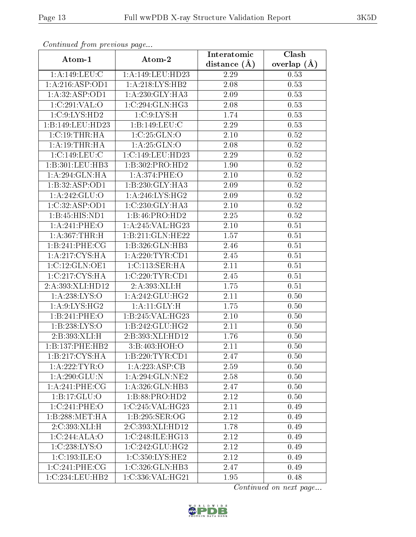| Contribution provided buyers.        |                                          | Interatomic    | Clash         |  |
|--------------------------------------|------------------------------------------|----------------|---------------|--|
| Atom-1                               | Atom-2                                   | distance $(A)$ | overlap $(A)$ |  |
| 1:A:149:LEU:C                        | 1:A:149:LEU:HD23                         | 2.29           | 0.53          |  |
| 1:A:216:ASP:OD1                      | 1: A:218: LYS: HB2                       | 2.08           | 0.53          |  |
| 1:A:32:ASP:OD1                       | 1:A:230:GLY:HA3                          | 2.09           | 0.53          |  |
| 1:C:291:VAL:O                        | 1:C:294:GLN:HG3                          | 2.08           | 0.53          |  |
| 1:C:9:LYS:HD2                        | 1:C:9:LYS:H                              | 1.74           | 0.53          |  |
| 1:B:149:LEU:HD23                     | 1:B:149:LEU:C                            | 2.29           | 0.53          |  |
| 1:C:19:THR:HA                        | 1:C:25:GLN:O                             | $2.10\,$       | 0.52          |  |
| 1: A:19:THR:HA                       | 1: A:25: GLN:O                           | 2.08           | 0.52          |  |
| 1:C:149:LEU:C                        | 1:C:149:LEU:HD23                         | 2.29           | 0.52          |  |
| 1:B:301:LEU:HB3                      | 1:B:302:PRO:HD2                          | 1.90           | 0.52          |  |
| 1:A:294:GLN:HA                       | 1:A:374:PHE:O                            | 2.10           | 0.52          |  |
| 1:B:32:ASP:OD1                       | 1:B:230:GLY:HA3                          | 2.09           | 0.52          |  |
| 1:A:242:GLU:O                        | 1:A:246:LYS:HG2                          | 2.09           | 0.52          |  |
| 1:C:32:ASP:OD1                       | $1:C:230:GLY:\overline{H} \overline{A3}$ | 2.10           | 0.52          |  |
| 1:B:45:HIS:ND1                       | 1:B:46:PRO:HD2                           | 2.25           | 0.52          |  |
| 1:A:241:PHE:O                        | 1: A:245:VAL:HG23                        | 2.10           | 0.51          |  |
| 1: A:367:THR:H                       | 1:B:211:GLN:HE22                         | 1.57           | 0.51          |  |
| 1:B:241:PHE:CG                       | 1:B:326:GLN:HB3                          | 2.46           | 0.51          |  |
| 1: A:217: CYS:HA                     | 1: A:220:TYR:CD1                         | 2.45           | 0.51          |  |
| 1: C: 12: GLN: OE1                   | 1:C:113:SER:HA                           | 2.11           | 0.51          |  |
| 1:C:217:CYS:HA                       | 1:C:220:TYR:CD1                          | 2.45           | 0.51          |  |
| 2:A:393:XLI:HD12                     | 2:A:393:XLI:H                            | 1.75           | 0.51          |  |
| 1: A:238: LYS:O                      | 1: A:242: GLU:HG2                        | 2.11           | 0.50          |  |
| $1: A: 9: \overline{\text{LYS:HG2}}$ | 1:A:11:GLY:H                             | 1.75           | 0.50          |  |
| 1:B:241:PHE:O                        | 1:B:245:VAL:HG23                         | 2.10           | 0.50          |  |
| 1:B:238:LYS:O                        | 1:B:242:GLU:HG2                          | 2.11           | 0.50          |  |
| 2:B:393:XLI:H                        | 2:B:393:XLI:HD12                         | 1.76           | 0.50          |  |
| 1:B:137:PHE:HB2                      | 3:B:403:HOH:O                            | 2.11           | 0.50          |  |
| 1:B:217:CYS:HA                       | 1:B:220:TYR:CD1                          | 2.47           | 0.50          |  |
| 1:A:222:TYR:O                        | 1:A:223:ASP:CB                           | 2.59           | 0.50          |  |
| 1:A:290:GLU:N                        | 1: A:294: GLN:NE2                        | 2.58           | 0.50          |  |
| 1:A:241:PHE:CG                       | 1: A:326: GLN:HB3                        | 2.47           | 0.50          |  |
| 1:B:17:GLU:O                         | 1:B:88:PRO:HD2                           | 2.12           | 0.50          |  |
| 1:C:241:PHE:O                        | 1:C:245:VAL:HG23                         | 2.11           | 0.49          |  |
| 1:B:288:MET:HA                       | 1:B:295:SER:OG                           | 2.12           | 0.49          |  |
| 2:C:393:XLI:H                        | 2:C:393:XLI:HD12                         | 1.78           | 0.49          |  |
| 1:C:244:ALA:O                        | 1:C:248:ILE:HG13                         | 2.12           | 0.49          |  |
| 1:C:238:LYS:O                        | 1:C:242:GLU:HG2                          | 2.12           | 0.49          |  |
| 1:C:193:ILE:O                        | 1:C:350:LYS:HE2                          | 2.12           | 0.49          |  |
| 1:C:241:PHE:CG                       | 1:C:326:GLN:HB3                          | 2.47           | 0.49          |  |
| 1:C:234:LEU:HB2                      | $1:C:336:\overline{\mathrm{VAL}}:HG21$   | 1.95           | 0.48          |  |

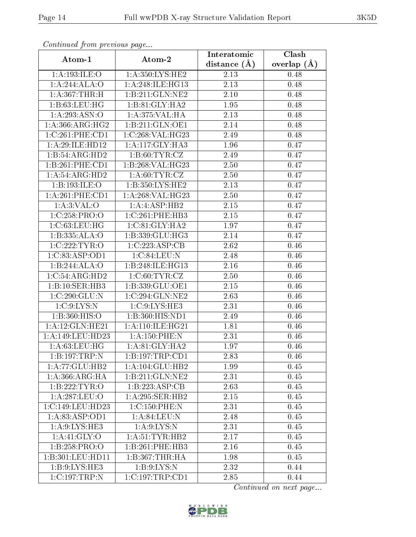| continuou provisious pago           |                    | Interatomic    | Clash         |  |
|-------------------------------------|--------------------|----------------|---------------|--|
| Atom-1                              | Atom-2             | distance $(A)$ | overlap $(A)$ |  |
| 1:A:193:ILE:O                       | 1:A:350:LYS:HE2    | 2.13           | 0.48          |  |
| 1:A:244:ALA:O                       | 1:A:248:ILE:HG13   | 2.13           | 0.48          |  |
| 1:A:367:THR:H                       | 1:B:211:GLN:NE2    | $2.10\,$       | 0.48          |  |
| 1:B:63:LEU:HG                       | 1:B:81:GLY:HA2     | 1.95           | 0.48          |  |
| 1:A:293:ASN:O                       | 1:A:375:VAL:HA     | 2.13           | 0.48          |  |
| 1: A: 366: ARG: HG2                 | 1:B:211:GLN:OE1    | 2.14           | 0.48          |  |
| 1:C:261:PHE:CD1                     | 1:C:268:VAL:HG23   | 2.49           | 0.48          |  |
| 1:A:29:ILE:HD12                     | 1:A:117:GLY:HA3    | 1.96           | 0.47          |  |
| 1:B:54:ARG:HD2                      | 1: B:60: TYR: CZ   | 2.49           | 0.47          |  |
| 1: B:261:PHE:CD1                    | 1:B:268:VAL:HG23   | 2.50           | 0.47          |  |
| 1:A:54:ARG:HD2                      | 1: A:60: TYR: CZ   | 2.50           | 0.47          |  |
| 1:B:193:ILE:O                       | 1:B:350:LYS:HE2    | 2.13           | 0.47          |  |
| 1:A:261:PHE:CD1                     | 1: A:268: VAL:HG23 | 2.50           | 0.47          |  |
| 1: A:3: VAL:O                       | 1:A:ASP:HB2        | 2.15           | 0.47          |  |
| 1:C:258:PRO:O                       | 1:C:261:PHE:HB3    | 2.15           | 0.47          |  |
| 1:C:63:LEU:HG                       | 1: C:81: GLY:HA2   | 1.97           | 0.47          |  |
| 1:B:335:ALA:O                       | 1:B:339:GLU:HG3    | 2.14           | 0.47          |  |
| 1:C:222:TYR:O                       | 1:C:223:ASP:CB     | 2.62           | 0.46          |  |
| 1:C:83:ASP:OD1                      | 1:C:84:LEU:N       | 2.48           | 0.46          |  |
| 1:B:244:ALA:O                       | 1:B:248:ILE:HG13   | 2.16           | 0.46          |  |
| 1:C:54:ARG:HD2                      | 1:C:60:TYR:CZ      | 2.50           | 0.46          |  |
| 1:B:10:SER:HB3                      | 1:B:339:GLU:OE1    | 2.15           | 0.46          |  |
| 1:C:290:GLU:N                       | 1:C:294:GLN:NE2    | 2.63           | 0.46          |  |
| 1:C:9:LYS:N                         | 1:C:9:LYS:HE3      | 2.31           | 0.46          |  |
| 1:B:360:HIS:O                       | 1:B:360:HIS:ND1    | 2.49           | 0.46          |  |
| 1: A:12: GLN: HE21                  | 1:A:110:ILE:HG21   | 1.81           | 0.46          |  |
| 1: A: 149: LEU: HD23                | 1:A:150:PHE:N      | 2.31           | 0.46          |  |
| 1: A:63:LEU:HG                      | 1: A:81: GLY:HA2   | 1.97           | 0.46          |  |
| 1:B:197:TRP:N                       | 1:B:197:TRP:CD1    | 2.83           | 0.46          |  |
| 1:A:77:GLU:HB2                      | 1:A:104:GLU:HB2    | 1.99           | 0.45          |  |
| 1: A:366: ARG: HA                   | 1:B:211:GLN:NE2    | 2.31           | 0.45          |  |
| 1:B:222:TYR:O                       | 1:B:223:ASP:CB     | 2.63           | 0.45          |  |
| $1:A:287:\overline{\textrm{LEU:O}}$ | 1:A:295:SER:HB2    | 2.15           | 0.45          |  |
| 1:C:149:LEU:HD23                    | 1:C:150:PHE:N      | 2.31           | 0.45          |  |
| 1: A:83: ASP:OD1                    | 1: A:84:LEU: N     | 2.48           | 0.45          |  |
| 1: A:9: LYS: HE3                    | 1: A:9:LYS:N       | 2.31           | 0.45          |  |
| 1: A:41: GLY:O                      | 1: A:51:TYR:HB2    | 2.17           | 0.45          |  |
| 1:B:258:PRO:O                       | 1:B:261:PHE:HB3    | 2.16           | 0.45          |  |
| 1:B:301:LEU:HD11                    | 1:B:367:THR:HA     | 1.98           | 0.45          |  |
| 1: B: 9: LYS: HE3                   | 1: B:9: LYS:N      | 2.32           | 0.44          |  |
| $1:C:197$ : TRP:N                   | 1:C:197:TRP:CD1    | 2.85           | 0.44          |  |

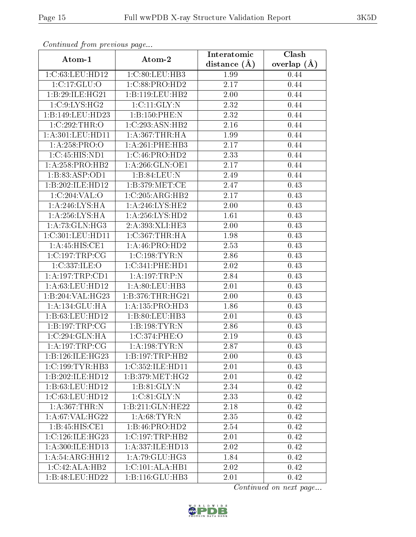| Continually from providuo puga |                     | Interatomic       | Clash         |
|--------------------------------|---------------------|-------------------|---------------|
| Atom-1                         | Atom-2              | distance $(A)$    | overlap $(A)$ |
| 1:C:63:LEU:HD12                | 1:C:80:LEU:HB3      | 1.99              | 0.44          |
| 1:C:17:GLU:O                   | 1:C:88:PRO:HD2      | 2.17              | 0.44          |
| 1:B:29:ILE:HG21                | 1:B:119:LEU:HB2     | 2.00              | 0.44          |
| 1:C:9:LYS:HG2                  | 1:C:11:GLY:N        | 2.32              | 0.44          |
| 1:B:149:LEU:HD23               | 1:B:150:PHE:N       | 2.32              | 0.44          |
| 1:C:292:THR:O                  | 1:C:293:ASN:HB2     | 2.16              | 0.44          |
| 1: A:301: LEU:HD11             | 1: A:367:THR:HA     | 1.99              | 0.44          |
| 1: A:258: PRO:O                | 1:A:261:PHE:HB3     | 2.17              | 0.44          |
| 1:C:45:HIS:ND1                 | 1:C:46:PRO:HD2      | 2.33              | 0.44          |
| 1:A:258:PRO:HB2                | 1: A:266: GLN:OE1   | 2.17              | 0.44          |
| 1:B:83:ASP:OD1                 | 1:B:84:LEU:N        | 2.49              | 0.44          |
| 1:B:202:ILE:HD12               | 1: B:379:MET:CE     | 2.47              | 0.43          |
| 1:C:204:VAL:O                  | 1:C:205:ARG:HB2     | 2.17              | 0.43          |
| 1: A:246: LYS: HA              | 1: A:246: LYS: HE2  | 2.00              | 0.43          |
| 1: A:256: LYS: HA              | 1:A:256:LYS:HD2     | 1.61              | 0.43          |
| 1:A:73:GLN:HG3                 | 2:A:393:XLI:HE3     | 2.00              | 0.43          |
| 1:C:301:LEU:HD11               | 1:C:367:THR:HA      | 1.98              | 0.43          |
| 1:A:45:HIS:CE1                 | 1:A:46:PRO:HD2      | 2.53              | 0.43          |
| 1:C:197:TRP:CG                 | 1:C:198:TYR:N       | 2.86              | 0.43          |
| 1:C:337:ILE:O                  | 1:C:341:PHE:HD1     | 2.02              | 0.43          |
| 1:A:197:TRP:CD1                | 1: A: 197: TRP: N   | 2.84              | 0.43          |
| 1: A:63:LEU:HD12               | 1:A:80:LEU:HB3      | 2.01              | 0.43          |
| 1:B:204:VAL:HG23               | 1:B:376:THR:HG21    | 2.00              | 0.43          |
| 1:A:134:GLU:HA                 | 1: A: 135: PRO: HD3 | $\overline{1.86}$ | 0.43          |
| 1:B:63:LEU:HD12                | 1:B:80:LEU:HB3      | 2.01              | 0.43          |
| 1:B:197:TRP:CG                 | 1:B:198:TYR:N       | 2.86              | 0.43          |
| 1:C:294:GLN:HA                 | 1:C:374:PHE:O       | 2.19              | 0.43          |
| 1: A: 197: TRP: CG             | 1: A: 198: TYR: N   | 2.87              | 0.43          |
| 1:B:126:ILE:HG23               | 1:B:197:TRP:HB2     | 2.00              | 0.43          |
| 1:C:199:TYR:HB3                | 1:C:352:ILE:HD11    | 2.01              | 0.43          |
| 1:B:202:ILE:HD12               | 1: B:379:MET:HG2    | 2.01              | 0.42          |
| 1:B:63:LEU:HD12                | 1: B:81: GLY:N      | 2.34              | 0.42          |
| 1:C:63:LEU:HD12                | 1:C:81:GLY:N        | 2.33              | 0.42          |
| 1: A:367:THR:N                 | 1:B:211:GLN:HE22    | 2.18              | 0.42          |
| 1: A:67: VAL:HG22              | 1: A:68: TYR:N      | 2.35              | 0.42          |
| 1:B:45:HIS:CE1                 | 1:B:46:PRO:HD2      | 2.54              | 0.42          |
| 1:C:126:ILE:HG23               | 1:C:197:TRP:HB2     | 2.01              | 0.42          |
| 1: A:300: ILE: HD13            | 1:A:337:ILE:HD13    | 2.02              | 0.42          |
| 1: A:54: ARG:HH12              | 1:A:79:GLU:HG3      | 1.84              | 0.42          |
| 1:C:42:ALA:HB2                 | 1:C:101:ALA:HB1     | 2.02              | 0.42          |
| 1:B:48:LEU:HD22                | 1:B:116:GLU:HB3     | 2.01              | 0.42          |

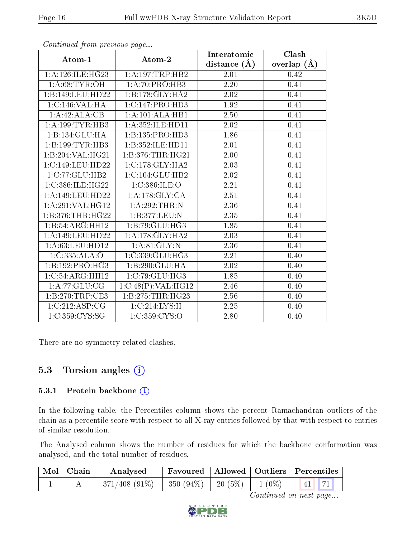|                     | $\mathbf{r}$ $\mathbf{v}$ | Interatomic       | Clash             |
|---------------------|---------------------------|-------------------|-------------------|
| Atom-1              | Atom-2                    | distance $(A)$    | overlap $(\AA)$   |
| 1: A:126: ILE: HG23 | 1: A:197:TRP:HB2          | 2.01              | 0.42              |
| 1: A:68:TYR:OH      | 1:A:70:PRO:HB3            | $\overline{2.20}$ | $\overline{0.41}$ |
| 1:B:149:LEU:HD22    | 1:B:178:GLY:HA2           | 2.02              | 0.41              |
| 1:C:146:VAL:HA      | 1:C:147:PRO:HD3           | 1.92              | 0.41              |
| $1:A:42:ALA:C$ B    | 1:A:101:ALA:HB1           | 2.50              | 0.41              |
| 1: A: 199: TYR: HB3 | 1: A: 352: ILE: HD11      | 2.02              | 0.41              |
| 1:B:134:GLU:HA      | 1:B:135:PRO:HD3           | 1.86              | 0.41              |
| 1:B:199:TYR:HB3     | 1:B:352:ILE:HD11          | 2.01              | 0.41              |
| 1:B:204:VAL:HG21    | 1:B:376:THR:HG21          | 2.00              | 0.41              |
| 1:C:149:LEU:HD22    | 1:C:178:GLY:HA2           | 2.03              | 0.41              |
| 1:C:77:GLU:HB2      | 1:C:104:GLU:HB2           | 2.02              | 0.41              |
| 1:C:386:ILE:HG22    | 1:C:386:ILE:O             | 2.21              | 0.41              |
| 1:A:149:LEU:HD22    | 1:A:178:GLY:CA            | 2.51              | 0.41              |
| 1: A:291: VAL:HG12  | 1:A:292:THR:N             | 2.36              | 0.41              |
| 1:B:376:THR:HG22    | 1:B:377:LEU:N             | 2.35              | 0.41              |
| 1:B:54:ARG:HH12     | 1:B:79:GLU:HG3            | 1.85              | 0.41              |
| 1:A:149:LEU:HD22    | 1:A:178:GLY:HA2           | 2.03              | 0.41              |
| 1:A:63:LEU:HD12     | 1: A:81: GLY:N            | 2.36              | 0.41              |
| 1:C:335:ALA:O       | 1:C:339:GLU:HG3           | 2.21              | 0.40              |
| 1:B:192:PRO:HG3     | 1:B:290:GLU:HA            | 2.02              | 0.40              |
| 1:C:54:ARG:HH12     | 1:C:79:GLU:HG3            | $\overline{1.85}$ | $\overline{0.40}$ |
| 1: A:77: GLU: CG    | 1:C:48(P):VAL:HG12        | 2.46              | 0.40              |
| 1:B:270:TRP:CE3     | 1:B:275:THR:HG23          | 2.56              | 0.40              |
| 1:C:212:ASP:CG      | 1:C:214:LYS:H             | $\overline{2.25}$ | 0.40              |
| 1:C:359:CYS:SG      | 1:C:359:CYS:O             | 2.80              | 0.40              |

There are no symmetry-related clashes.

## 5.3 Torsion angles  $(i)$

#### 5.3.1 Protein backbone (i)

In the following table, the Percentiles column shows the percent Ramachandran outliers of the chain as a percentile score with respect to all X-ray entries followed by that with respect to entries of similar resolution.

The Analysed column shows the number of residues for which the backbone conformation was analysed, and the total number of residues.

| $\mathrm{Mol}\mid\mathrm{Chain}$ | Analysed         | <b>Favoured</b>       |            |          | Allowed   Outliers   Percentiles |
|----------------------------------|------------------|-----------------------|------------|----------|----------------------------------|
|                                  | $371/408$ (91\%) | $\pm$ 350 (94%) $\pm$ | 20 $(5\%)$ | $1(0\%)$ | <b>P</b> 71<br> 41               |

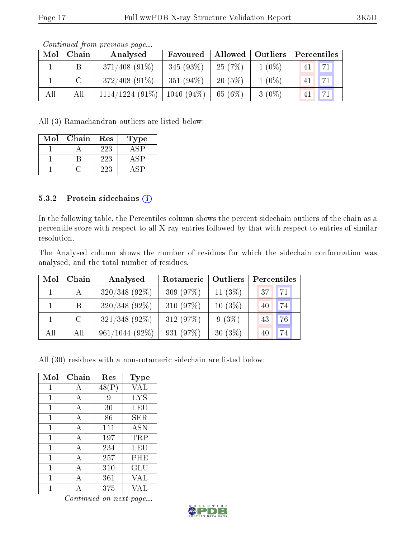|     |       | contentable provided page |              |                    |          |             |
|-----|-------|---------------------------|--------------|--------------------|----------|-------------|
| Mol | Chain | Analysed                  | Favoured     | Allowed   Outliers |          | Percentiles |
|     |       | $371/408$ (91\%)          | $345(93\%)$  | 25(7%)             | $1(0\%)$ | 71<br>41    |
|     |       | $372/408$ (91\%)          | 351 $(94\%)$ | $20(5\%)$          | $1(0\%)$ | 71<br>41    |
| All | All   | $1114/1224$ (91\%)        | $1046(94\%)$ | 65(6%)             | $3(0\%)$ | 771<br>41   |

All (3) Ramachandran outliers are listed below:

| Mol | Chain | $\operatorname{Res}% \left( \mathcal{N}\right) \equiv\operatorname{Res}(\mathcal{N}_{0},\mathcal{N}_{0})$ | 'ype |
|-----|-------|-----------------------------------------------------------------------------------------------------------|------|
|     |       | 223                                                                                                       |      |
|     |       | 223                                                                                                       |      |
|     |       | 223                                                                                                       |      |

#### 5.3.2 Protein sidechains  $\left( \widehat{\mathbf{i}} \right)$

In the following table, the Percentiles column shows the percent sidechain outliers of the chain as a percentile score with respect to all X-ray entries followed by that with respect to entries of similar resolution.

The Analysed column shows the number of residues for which the sidechain conformation was analysed, and the total number of residues.

| Mol | Chain         | Analysed         | Rotameric   | Outliers   | Percentiles |    |
|-----|---------------|------------------|-------------|------------|-------------|----|
|     |               | $320/348$ (92\%) | 309 $(97%)$ | 11 $(3\%)$ | 37          | 71 |
|     | B.            | $320/348$ (92%)  | 310 $(97%)$ | $10(3\%)$  | 40          | 74 |
|     | $\mathcal{C}$ | $321/348$ (92%)  | 312 (97%)   | $9(3\%)$   | 43          | 76 |
| All | All           | $961/1044(92\%)$ | 931 $(97%)$ | $30(3\%)$  | 40          | 74 |

All (30) residues with a non-rotameric sidechain are listed below:

| Mol | Chain | Res   | Type                 |
|-----|-------|-------|----------------------|
| 1   | А     | 48(P) | VAL                  |
| 1   | А     | 9     | <b>LYS</b>           |
| 1   | A     | 30    | LEU                  |
| 1   | А     | 86    | SER                  |
| 1   | A     | 111   | <b>ASN</b>           |
| 1   | A     | 197   | $\rm TRP$            |
| 1   | А     | 234   | LEU                  |
| 1   | A     | 257   | PHE                  |
| 1   | А     | 310   | $\operatorname{GLU}$ |
| 1   | А     | 361   | VAL                  |
|     |       | 375   | JА                   |

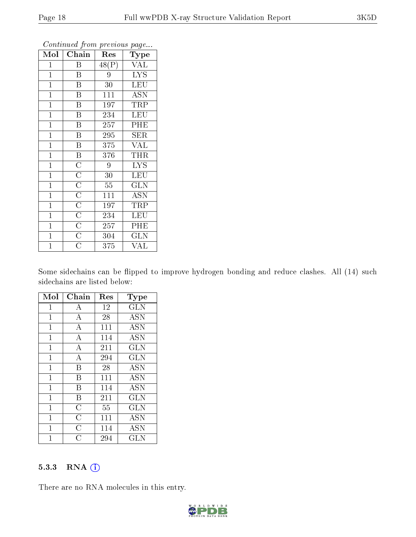| Mol            | Chain                               | Res                | Type                    |
|----------------|-------------------------------------|--------------------|-------------------------|
| $\mathbf{1}$   | B                                   | $\overline{48(P)}$ | <b>VAL</b>              |
| $\mathbf{1}$   | $\overline{\mathbf{B}}$             | 9                  | $\overline{\text{LYS}}$ |
| $\mathbf{1}$   | $\overline{\mathrm{B}}$             | 30                 | <b>LEU</b>              |
| $\overline{1}$ | $\overline{\mathrm{B}}$             | 111                | <b>ASN</b>              |
| $\mathbf{1}$   | $\overline{\mathrm{B}}$             | 197                | TRP                     |
| $\mathbf{1}$   | B                                   | 234                | <b>LEU</b>              |
| $\mathbf{1}$   | Β                                   | 257                | PHE                     |
| $\mathbf{1}$   | $\overline{\mathrm{B}}$             | 295                | $\overline{\text{SER}}$ |
| $\overline{1}$ | $\overline{\mathrm{B}}$             | 375                | $\overline{\text{VAL}}$ |
| $\mathbf{1}$   | $\overline{\mathrm{B}}$             | 376                | <b>THR</b>              |
| $\mathbf{1}$   | $\overline{C}$                      | 9                  | <b>LYS</b>              |
| $\mathbf{1}$   | $\frac{\overline{C}}{\overline{C}}$ | $30\,$             | <b>LEU</b>              |
| $\mathbf{1}$   |                                     | $55\,$             | <b>GLN</b>              |
| $\mathbf{1}$   |                                     | 111                | <b>ASN</b>              |
| $\mathbf{1}$   | $\frac{\overline{C}}{\overline{C}}$ | 197                | TRP                     |
| $\mathbf{1}$   |                                     | 234                | <b>LEU</b>              |
| $\mathbf{1}$   | $\overline{C}$                      | 257                | PHE                     |
| $\mathbf{1}$   | $\overline{\rm C}$                  | 304                | <b>GLN</b>              |
| $\mathbf{1}$   | $\overline{\rm C}$                  | 375                | <b>VAL</b>              |

Some sidechains can be flipped to improve hydrogen bonding and reduce clashes. All (14) such sidechains are listed below:

| Mol          | Chain              | Res | Type                               |
|--------------|--------------------|-----|------------------------------------|
| $\mathbf{1}$ | A                  | 12  | GLN                                |
| $\mathbf 1$  | $\overline{\rm A}$ | 28  | <b>ASN</b>                         |
| $\mathbf 1$  | $\boldsymbol{A}$   | 111 | <b>ASN</b>                         |
| $\mathbf{1}$ | $\overline{A}$     | 114 | <b>ASN</b>                         |
| $\mathbf 1$  | $\boldsymbol{A}$   | 211 | <b>GLN</b>                         |
| $\mathbf 1$  | $\overline{A}$     | 294 | <b>GLN</b>                         |
| $\mathbf 1$  | B                  | 28  | <b>ASN</b>                         |
| $\mathbf 1$  | B                  | 111 | <b>ASN</b>                         |
| $\mathbf 1$  | B                  | 114 | <b>ASN</b>                         |
| $\mathbf 1$  | B                  | 211 | GLN                                |
| $\mathbf{1}$ | $\overline{\rm C}$ | 55  | GLN                                |
| $\mathbf{1}$ | $\overline{C}$     | 111 | $\overline{\mathrm{A}}\mathrm{SN}$ |
| 1            | $\overline{\rm C}$ | 114 | <b>ASN</b>                         |
| 1            | C                  | 294 | $_{\rm GLN}$                       |

#### 5.3.3 RNA (i)

There are no RNA molecules in this entry.

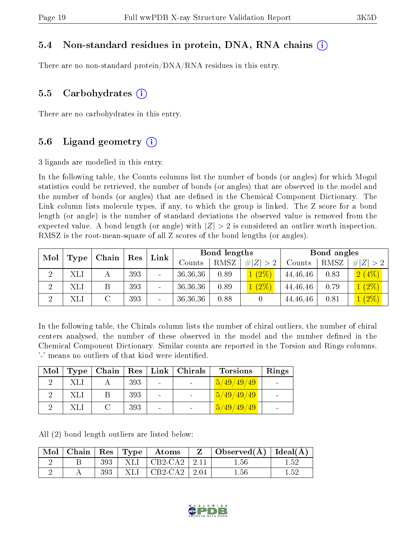#### 5.4 Non-standard residues in protein, DNA, RNA chains (i)

There are no non-standard protein/DNA/RNA residues in this entry.

#### 5.5 Carbohydrates  $(i)$

There are no carbohydrates in this entry.

#### 5.6 Ligand geometry  $(i)$

3 ligands are modelled in this entry.

In the following table, the Counts columns list the number of bonds (or angles) for which Mogul statistics could be retrieved, the number of bonds (or angles) that are observed in the model and the number of bonds (or angles) that are dened in the Chemical Component Dictionary. The Link column lists molecule types, if any, to which the group is linked. The Z score for a bond length (or angle) is the number of standard deviations the observed value is removed from the expected value. A bond length (or angle) with  $|Z| > 2$  is considered an outlier worth inspection. RMSZ is the root-mean-square of all Z scores of the bond lengths (or angles).

| Mol<br>$\overline{\phantom{a}}$ Chain $^+$<br>Type |     |  | $\operatorname{Res}$ |                          |          |      |             | Link     |      | Bond lengths            |  |  | Bond angles |  |
|----------------------------------------------------|-----|--|----------------------|--------------------------|----------|------|-------------|----------|------|-------------------------|--|--|-------------|--|
|                                                    |     |  |                      |                          | Counts   | RMSZ | # $ Z  > 2$ | Counts   | RMSZ | Z >2<br>#               |  |  |             |  |
| $\Omega$                                           | XLI |  | 393                  | $\overline{\phantom{a}}$ | 36,36,36 | 0.89 | $1(2\%)$    | 44,46,46 | 0.83 | 2(4%)                   |  |  |             |  |
|                                                    | XLI |  | 393                  |                          | 36,36,36 | 0.89 | $1(2\%)$    | 44,46,46 | 0.79 | $(2\%)$                 |  |  |             |  |
|                                                    | XLI |  | 393                  | $\overline{\phantom{a}}$ | 36,36,36 | 0.88 |             | 44,46,46 | 0.81 | $(2\%)$<br>$\mathbf{1}$ |  |  |             |  |

In the following table, the Chirals column lists the number of chiral outliers, the number of chiral centers analysed, the number of these observed in the model and the number defined in the Chemical Component Dictionary. Similar counts are reported in the Torsion and Rings columns. '-' means no outliers of that kind were identified.

| Mol | Type | Chain   $\text{Res}$   $\text{Link}$ |     |                          | $\mid$ Chirals | <b>Torsions</b>           | Rings |
|-----|------|--------------------------------------|-----|--------------------------|----------------|---------------------------|-------|
|     | XLI  |                                      | 393 | $\blacksquare$           |                | $\frac{5}{49}/49/49$      |       |
|     | XЫ   |                                      | 393 | $\overline{\phantom{0}}$ |                | 15/49/49/49               |       |
|     | XЫ   |                                      | 393 | $\overline{\phantom{0}}$ |                | $\left[5/49/49/49\right]$ |       |

All (2) bond length outliers are listed below:

| $\text{Mol}$ |     |        | $ $ Chain $ $ Res $ $ Type $ $ Atoms     | $\mid$ Observed( $\rm \AA$ )   Ideal( $\rm \AA$ ) |          |
|--------------|-----|--------|------------------------------------------|---------------------------------------------------|----------|
|              | 393 |        | $\vert$ XLI $\vert$ CB2-CA2 $\vert$ 2.11 | 1.56                                              | 1.52     |
|              | 393 | -XLI - | $\vert$ CB2-CA2 $\vert$ 2.04             | 1.56                                              | $1.52\,$ |

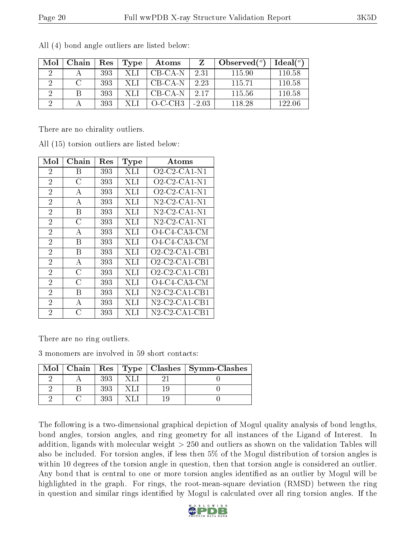| Mol | Chain | Res | <b>Type</b> | Atoms       |         | Observed $(°)$ | Ideal $(°)$ |
|-----|-------|-----|-------------|-------------|---------|----------------|-------------|
| 9   |       | 393 | -XLI        | CB-CA-N     | 2.31    | 115.90         | 110.58      |
|     |       | 393 | -XLI        | CB-CA-N     | 2.23    | 115.71         | 110.58      |
|     |       | 393 | -XLI        | CB-CA-N     | -2.17   | 115.56         | 110.58      |
|     |       | 393 | -XI I       | $O\_C\_CH3$ | $-2.03$ | 118.28         | 122.06      |

All (4) bond angle outliers are listed below:

There are no chirality outliers.

| Mol            | ${\bf Chain}$  | $\operatorname{Res}% \left( \mathcal{N}\right) \equiv\operatorname{Res}(\mathcal{N}_{0})\cap\mathcal{N}_{1}$ | <b>Type</b> | $\boldsymbol{\mathrm{Atoms}}$                                |
|----------------|----------------|--------------------------------------------------------------------------------------------------------------|-------------|--------------------------------------------------------------|
| $\overline{2}$ | Β              | 393                                                                                                          | XЫ          | $O2$ -C <sub>2</sub> -C <sub>A</sub> 1-N <sub>1</sub>        |
| $\overline{2}$ | C              | 393                                                                                                          | XЫ          | $O2$ -C <sub>2</sub> -C <sub>A</sub> 1-N <sub>1</sub>        |
| $\overline{2}$ | А              | 393                                                                                                          | XЫ          | O2-C2-CA1-N1                                                 |
| $\overline{2}$ | А              | 393                                                                                                          | XЫ          | $N2$ -C2-CA1-N1                                              |
| $\overline{2}$ | В              | 393                                                                                                          | XLI         | N <sub>2</sub> C <sub>2</sub> C <sub>A1</sub> N <sub>1</sub> |
| $\overline{2}$ | С              | 393                                                                                                          | XЫ          | $N2$ -C2-CA1-N1                                              |
| $\overline{2}$ | А              | 393                                                                                                          | XЫ          | $O4$ -C4-CA3-CM                                              |
| $\overline{2}$ | B              | 393                                                                                                          | XЫ          | O4-C4-CA3-CM                                                 |
| $\overline{2}$ | В              | 393                                                                                                          | XЫ          | $O2$ -C <sub>2</sub> -C <sub>A1</sub> -C <sub>B1</sub>       |
| $\overline{2}$ | A              | 393                                                                                                          | XЫ          | $O2$ -C2-CA1-CB1                                             |
| $\overline{2}$ | $\overline{C}$ | 393                                                                                                          | XЫ          | $O2$ -C <sub>2</sub> -C <sub>A1</sub> -C <sub>B1</sub>       |
| $\overline{2}$ | C              | 393                                                                                                          | XЫ          | $O4$ -C4-CA3-CM                                              |
| $\overline{2}$ | В              | 393                                                                                                          | XЫ          | N2-C2-CA1-CB1                                                |
| $\overline{2}$ | A              | 393                                                                                                          | XЫ          | $N2$ -C2-CA1-CB1                                             |
| $\overline{2}$ | C              | 393                                                                                                          | XЫ          | N2-C2-CA1-CB1                                                |

All (15) torsion outliers are listed below:

There are no ring outliers.

3 monomers are involved in 59 short contacts:

|  |     |  | Mol   Chain   Res   Type   Clashes   Symm-Clashes |
|--|-----|--|---------------------------------------------------|
|  | 393 |  |                                                   |
|  | 393 |  |                                                   |
|  |     |  |                                                   |

The following is a two-dimensional graphical depiction of Mogul quality analysis of bond lengths, bond angles, torsion angles, and ring geometry for all instances of the Ligand of Interest. In addition, ligands with molecular weight > 250 and outliers as shown on the validation Tables will also be included. For torsion angles, if less then 5% of the Mogul distribution of torsion angles is within 10 degrees of the torsion angle in question, then that torsion angle is considered an outlier. Any bond that is central to one or more torsion angles identified as an outlier by Mogul will be highlighted in the graph. For rings, the root-mean-square deviation (RMSD) between the ring in question and similar rings identified by Mogul is calculated over all ring torsion angles. If the

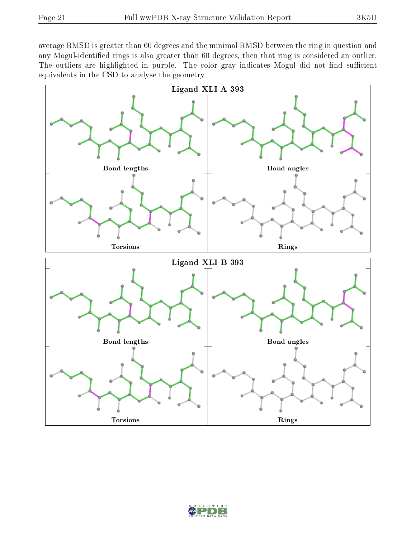average RMSD is greater than 60 degrees and the minimal RMSD between the ring in question and any Mogul-identified rings is also greater than 60 degrees, then that ring is considered an outlier. The outliers are highlighted in purple. The color gray indicates Mogul did not find sufficient equivalents in the CSD to analyse the geometry.



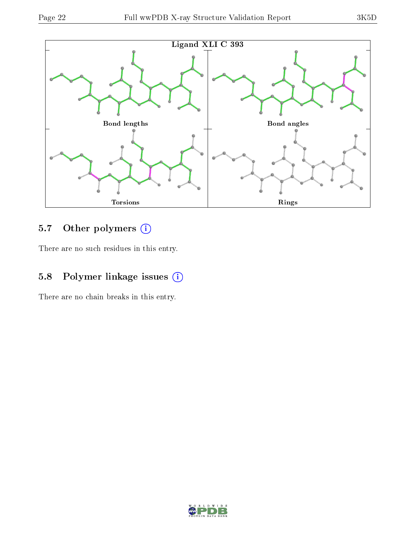

## 5.7 [O](https://www.wwpdb.org/validation/2017/XrayValidationReportHelp#nonstandard_residues_and_ligands)ther polymers (i)

There are no such residues in this entry.

## 5.8 Polymer linkage issues (i)

There are no chain breaks in this entry.

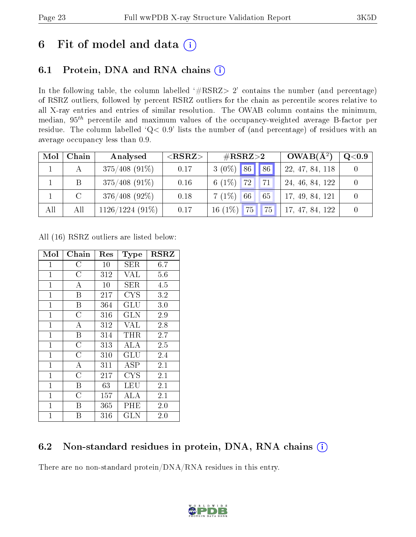# 6 Fit of model and data  $(i)$

## 6.1 Protein, DNA and RNA chains  $(i)$

In the following table, the column labelled  $#RSRZ> 2'$  contains the number (and percentage) of RSRZ outliers, followed by percent RSRZ outliers for the chain as percentile scores relative to all X-ray entries and entries of similar resolution. The OWAB column contains the minimum, median,  $95<sup>th</sup>$  percentile and maximum values of the occupancy-weighted average B-factor per residue. The column labelled ' $Q< 0.9$ ' lists the number of (and percentage) of residues with an average occupancy less than 0.9.

| Mol | Chain         | Analysed          | ${ <\hspace{-1.5pt}{\mathrm{RSRZ}} \hspace{-1.5pt}>}$ | $\rm \#RSRZ{>}2$            | $OWAB(A^2)$        | $\rm Q\textcolor{black}{<}0.9$ |
|-----|---------------|-------------------|-------------------------------------------------------|-----------------------------|--------------------|--------------------------------|
|     |               | $375/408$ (91\%)  | 0.17                                                  | $3(0\%)$ 86 86              | 22, 47, 84, 118    |                                |
|     | B             | $375/408$ (91\%)  | 0.16                                                  | $6(1\%)$<br><b>72</b><br>71 | 24, 46, 84, 122    |                                |
|     | $\mathcal{C}$ | $376/408$ (92\%)  | 0.18                                                  | $7(1\%)$<br> 66 <br>65      | 17, 49, 84, 121    |                                |
| All | All           | $1126/1224(91\%)$ | 0.17                                                  | $16(1\%)$<br>75<br>75       | 47, 84, 122<br>17, |                                |

All (16) RSRZ outliers are listed below:

| Mol          | Chain              | $\operatorname{Res}% \left( \mathcal{N}\right) \equiv\operatorname{Res}(\mathcal{N}_{0})\cap\mathcal{N}_{1}$ | <b>Type</b>  | <b>RSRZ</b> |
|--------------|--------------------|--------------------------------------------------------------------------------------------------------------|--------------|-------------|
| 1            | С                  | 10                                                                                                           | SER          | 6.7         |
| $\mathbf{1}$ | $\overline{\rm C}$ | 312                                                                                                          | VAL          | 5.6         |
| $\mathbf{1}$ | А                  | 10                                                                                                           | SER          | 4.5         |
| $\mathbf{1}$ | Β                  | 217                                                                                                          | <b>CYS</b>   | 3.2         |
| $\mathbf{1}$ | B                  | 364                                                                                                          | GLU          | 3.0         |
| $\mathbf{1}$ | $\overline{\rm C}$ | 316                                                                                                          | GLN          | 2.9         |
| $\mathbf{1}$ | A                  | 312                                                                                                          | VAL          | 2.8         |
| $\mathbf{1}$ | B                  | 314                                                                                                          | THR          | 2.7         |
| $\mathbf 1$  | $\overline{\rm C}$ | 313                                                                                                          | ALA          | 2.5         |
| $\mathbf{1}$ | $\overline{C}$     | 310                                                                                                          | GLU          | 2.4         |
| $\mathbf{1}$ | A                  | 311                                                                                                          | ASP          | 2.1         |
| $\mathbf{1}$ | $\overline{C}$     | 217                                                                                                          | <b>CYS</b>   | 2.1         |
| $\mathbf 1$  | Β                  | 63                                                                                                           | LEU          | 2.1         |
| $\mathbf 1$  | C                  | 157                                                                                                          | ALA          | 2.1         |
| $\mathbf{1}$ | B                  | 365                                                                                                          | $\rm PHE$    | 2.0         |
| 1            | В                  | 316                                                                                                          | $_{\rm GLN}$ | 2.0         |

## 6.2 Non-standard residues in protein, DNA, RNA chains  $(i)$

There are no non-standard protein/DNA/RNA residues in this entry.

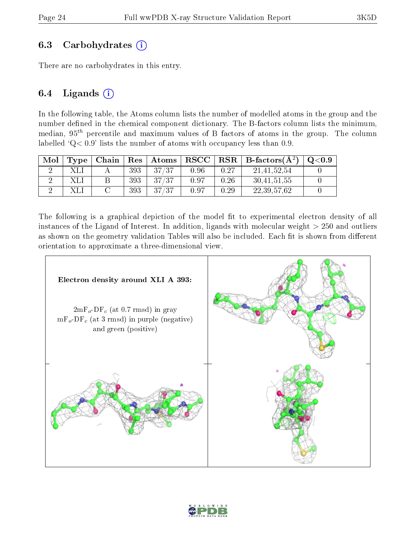### 6.3 Carbohydrates  $(i)$

There are no carbohydrates in this entry.

### 6.4 Ligands  $(i)$

In the following table, the Atoms column lists the number of modelled atoms in the group and the number defined in the chemical component dictionary. The B-factors column lists the minimum, median,  $95<sup>th</sup>$  percentile and maximum values of B factors of atoms in the group. The column labelled  $Q < 0.9$ ' lists the number of atoms with occupancy less than 0.9.

| Mol | Type | Chain | $\operatorname{Res}$ | $\mid$ Atoms | ${\bf RSCC}$ |      | $\perp$ RSR $\parallel$ B-factors(Å <sup>2</sup> ) | $\mathrm{O}{<}0.9$ |
|-----|------|-------|----------------------|--------------|--------------|------|----------------------------------------------------|--------------------|
|     |      |       | 393                  | 37/37        | 0.96         | 0.27 | 21.41.52.54                                        |                    |
|     |      |       | 393                  | 37/37        | 0.97         | 0.26 | 30,41,51,55                                        |                    |
|     |      |       | 393                  | 37/37        | 0.97         | 0.29 | 22, 39, 57, 62                                     |                    |

The following is a graphical depiction of the model fit to experimental electron density of all instances of the Ligand of Interest. In addition, ligands with molecular weight  $> 250$  and outliers as shown on the geometry validation Tables will also be included. Each fit is shown from different orientation to approximate a three-dimensional view.



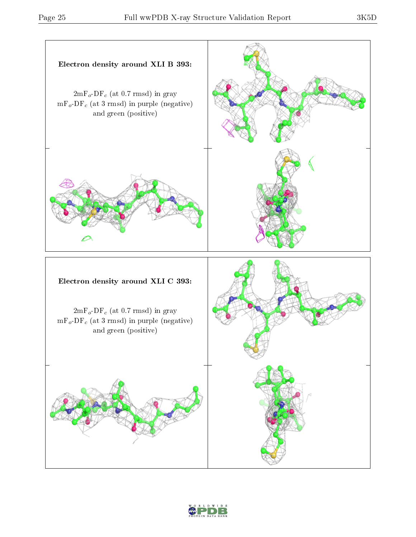